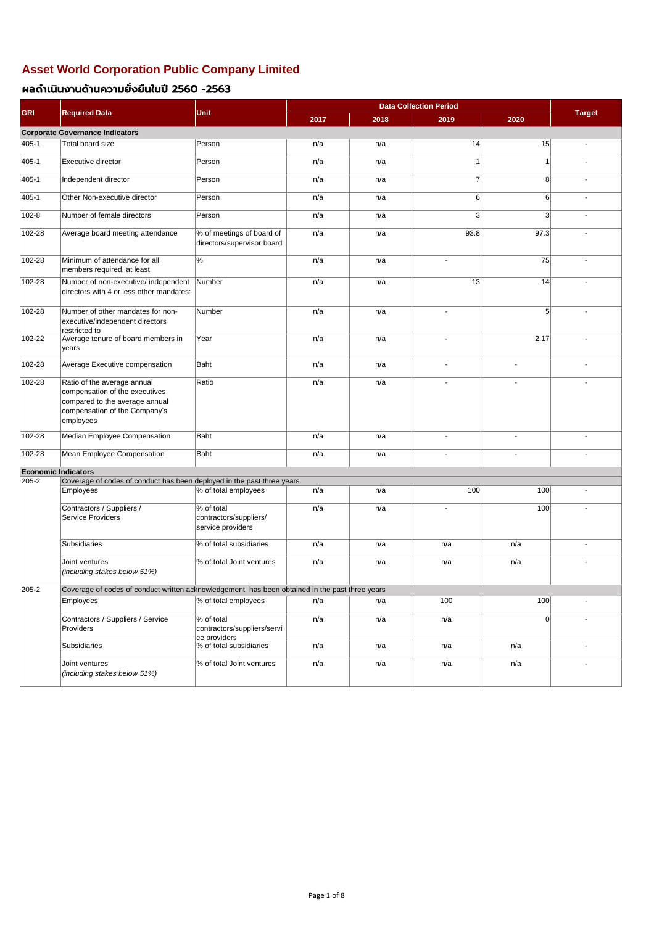| <b>GRI</b>                 | <b>Required Data</b>                                                                                                                          | <b>Unit</b>                                               | 2017 | 2018 | 2019           | 2020           | <b>Target</b> |
|----------------------------|-----------------------------------------------------------------------------------------------------------------------------------------------|-----------------------------------------------------------|------|------|----------------|----------------|---------------|
|                            | <b>Corporate Governance Indicators</b>                                                                                                        |                                                           |      |      |                |                |               |
| 405-1                      | Total board size                                                                                                                              | Person                                                    | n/a  | n/a  | 14             | 15             |               |
| 405-1                      | Executive director                                                                                                                            | Person                                                    | n/a  | n/a  |                | 1              |               |
| 405-1                      | Independent director                                                                                                                          | Person                                                    | n/a  | n/a  | $\overline{7}$ | 8 <sup>2</sup> |               |
| 405-1                      | Other Non-executive director                                                                                                                  | Person                                                    | n/a  | n/a  | 6              | 6              |               |
| 102-8                      | Number of female directors                                                                                                                    | Person                                                    | n/a  | n/a  | 3 <sup>2</sup> | 3              | $\sim$        |
| 102-28                     | Average board meeting attendance                                                                                                              | % of meetings of board of<br>directors/supervisor board   | n/a  | n/a  | 93.8           | 97.3           | $\sim$        |
| 102-28                     | Minimum of attendance for all<br>members required, at least                                                                                   | %                                                         | n/a  | n/a  |                | 75             |               |
| 102-28                     | Number of non-executive/ independent<br>directors with 4 or less other mandates:                                                              | Number                                                    | n/a  | n/a  | 13             | 14             |               |
| 102-28                     | Number of other mandates for non-<br>executive/independent directors<br>restricted to                                                         | Number                                                    | n/a  | n/a  |                | 5              |               |
| 102-22                     | Average tenure of board members in<br>years                                                                                                   | Year                                                      | n/a  | n/a  |                | 2.17           |               |
| 102-28                     | Average Executive compensation                                                                                                                | Baht                                                      | n/a  | n/a  | $\blacksquare$ | $\blacksquare$ |               |
| 102-28                     | Ratio of the average annual<br>compensation of the executives<br>compared to the average annual<br>compensation of the Company's<br>employees | Ratio                                                     | n/a  | n/a  |                | $\blacksquare$ |               |
| $102 - 28$                 | Median Employee Compensation                                                                                                                  | <b>Baht</b>                                               | n/a  | n/a  |                |                |               |
| 102-28                     | Mean Employee Compensation                                                                                                                    | Baht                                                      | n/a  | n/a  | $\blacksquare$ | $\blacksquare$ | $\sim$        |
| <b>Economic Indicators</b> |                                                                                                                                               |                                                           |      |      |                |                |               |
| 205-2                      | Coverage of codes of conduct has been deployed in the past three years                                                                        |                                                           | n/a  |      | 100            | 100            |               |
|                            | <b>Employees</b>                                                                                                                              | % of total employees                                      |      | n/a  |                |                |               |
|                            | Contractors / Suppliers /<br><b>Service Providers</b>                                                                                         | % of total<br>contractors/suppliers/<br>service providers | n/a  | n/a  |                | 100            |               |
|                            | <b>Subsidiaries</b>                                                                                                                           | % of total subsidiaries                                   | n/a  | n/a  | n/a            | n/a            |               |
|                            | Joint ventures<br>(including stakes below 51%)                                                                                                | % of total Joint ventures                                 | n/a  | n/a  | n/a            | n/a            |               |
| 205-2                      | Coverage of codes of conduct written acknowledgement has been obtained in the past three years                                                |                                                           |      |      |                |                |               |
|                            | Employees                                                                                                                                     | % of total employees                                      | n/a  | n/a  | 100            | 100            |               |
|                            | Contractors / Suppliers / Service<br>Providers                                                                                                | % of total<br>contractors/suppliers/servi<br>ce providers | n/a  | n/a  | n/a            | 0              |               |
|                            | <b>Subsidiaries</b>                                                                                                                           | % of total subsidiaries                                   | n/a  | n/a  | n/a            | n/a            |               |
|                            | Joint ventures<br>(including stakes below 51%)                                                                                                | % of total Joint ventures                                 | n/a  | n/a  | n/a            | n/a            | $\sim$        |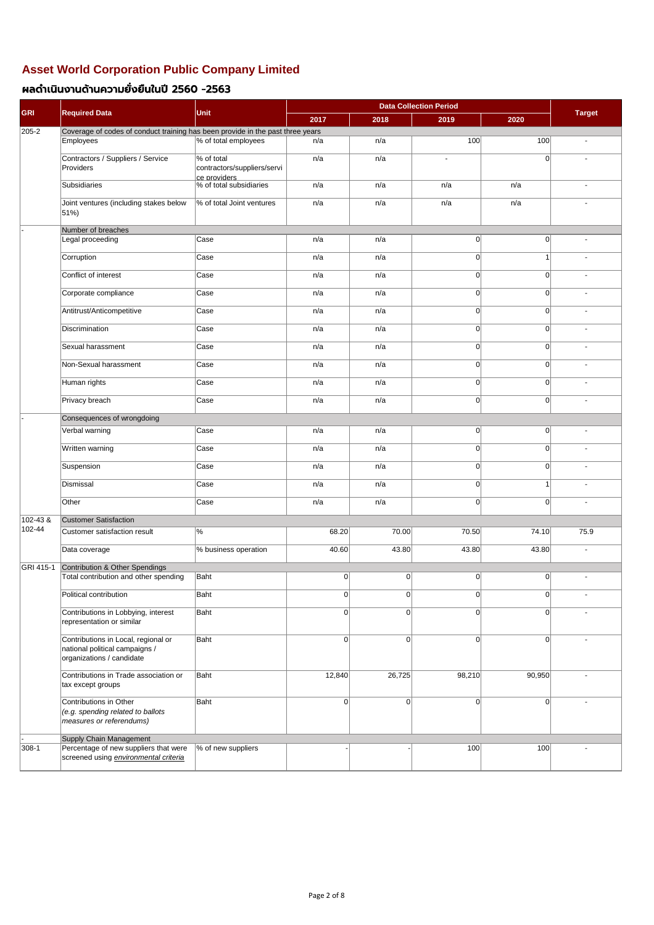| <b>GRI</b>   |                                                                                                                  | Unit                                                      |        | <b>Target</b> |          |                |                          |
|--------------|------------------------------------------------------------------------------------------------------------------|-----------------------------------------------------------|--------|---------------|----------|----------------|--------------------------|
|              | <b>Required Data</b>                                                                                             |                                                           | 2017   | 2018          | 2019     | 2020           |                          |
| $205 - 2$    | Coverage of codes of conduct training has been provide in the past three years                                   |                                                           |        |               | 100      | 100            |                          |
|              | Employees                                                                                                        | % of total employees                                      | n/a    | n/a           |          |                | $\blacksquare$           |
|              | Contractors / Suppliers / Service<br>Providers                                                                   | % of total<br>contractors/suppliers/servi<br>ce providers | n/a    | n/a           | $\sim$   | $\Omega$       |                          |
|              | <b>Subsidiaries</b>                                                                                              | % of total subsidiaries                                   | n/a    | n/a           | n/a      | n/a            |                          |
|              | Joint ventures (including stakes below<br>51%)                                                                   | % of total Joint ventures                                 | n/a    | n/a           | n/a      | n/a            |                          |
|              | Number of breaches                                                                                               |                                                           |        |               |          |                |                          |
|              | Legal proceeding                                                                                                 | Case                                                      | n/a    | n/a           | 0        | 0              |                          |
|              | Corruption                                                                                                       | Case                                                      | n/a    | n/a           | 0        |                | $\overline{a}$           |
|              | Conflict of interest                                                                                             | Case                                                      | n/a    | n/a           | 0        | 0              | $\blacksquare$           |
|              | Corporate compliance                                                                                             | Case                                                      | n/a    | n/a           | 0        | 0              | $\blacksquare$           |
|              | Antitrust/Anticompetitive                                                                                        | Case                                                      | n/a    | n/a           | 0        | 0              | $\blacksquare$           |
|              | Discrimination                                                                                                   | Case                                                      | n/a    | n/a           | 0        | $\overline{0}$ | $\blacksquare$           |
|              | Sexual harassment                                                                                                | Case                                                      | n/a    | n/a           | 0        | 0              | $\blacksquare$           |
|              | Non-Sexual harassment                                                                                            | Case                                                      | n/a    | n/a           | 0        | 0              | $\blacksquare$           |
|              | Human rights                                                                                                     | Case                                                      | n/a    | n/a           | 0        | 0              | $\blacksquare$           |
|              | Privacy breach                                                                                                   | Case                                                      | n/a    | n/a           | 0        | 0              | $\blacksquare$           |
|              | Consequences of wrongdoing                                                                                       |                                                           |        |               |          |                |                          |
|              | Verbal warning                                                                                                   | $\overline{\textsf{Case}}$                                | n/a    | n/a           | 01       | 01             |                          |
|              | Written warning                                                                                                  | Case                                                      | n/a    | n/a           | $\Omega$ | $\Omega$       | $\blacksquare$           |
|              | Suspension                                                                                                       | Case                                                      | n/a    | n/a           | 0        | $\Omega$       | $\blacksquare$           |
|              | <b>Dismissal</b>                                                                                                 | Case                                                      | n/a    | n/a           | $\Omega$ |                | $\blacksquare$           |
|              | Other                                                                                                            | Case                                                      | n/a    | n/a           | 0        | $\overline{0}$ | $\blacksquare$           |
| $102 - 43$ & | <b>Customer Satisfaction</b>                                                                                     |                                                           |        |               |          |                |                          |
| $ 102 - 44 $ | <b>Customer satisfaction result</b>                                                                              | $ \%$                                                     | 68.20  | 70.00         | 70.50    | 74.10          | 75.9                     |
|              | Data coverage                                                                                                    | % business operation                                      | 40.60  | 43.80         | 43.80    | 43.80          | $\overline{\phantom{a}}$ |
| GRI 415-1    | Contribution & Other Spendings                                                                                   |                                                           |        |               |          |                |                          |
|              | Total contribution and other spending                                                                            | Baht                                                      | 0      | 0             | 0        | $\overline{0}$ |                          |
|              | Political contribution                                                                                           | Baht                                                      | 0      | 0             | 0        | 0              | $\blacksquare$           |
|              | Contributions in Lobbying, interest<br>representation or similar                                                 | Baht                                                      | 0      | 0             | 0        | $\Omega$       |                          |
|              | Contributions in Local, regional or<br>national political campaigns /<br>organizations / candidate               | Baht                                                      | 0      | 0             | 0        | $\Omega$       |                          |
|              | Contributions in Trade association or<br>tax except groups                                                       | Baht                                                      | 12,840 | 26,725        | 98,210   | 90,950         |                          |
|              | Contributions in Other<br>(e.g. spending related to ballots<br>measures or referendums)                          | Baht                                                      | 0      | 0             | 0        | $\Omega$       |                          |
| 308-1        | <b>Supply Chain Management</b><br>Percentage of new suppliers that were<br>screened using environmental criteria | % of new suppliers                                        |        |               | 100      | 100            |                          |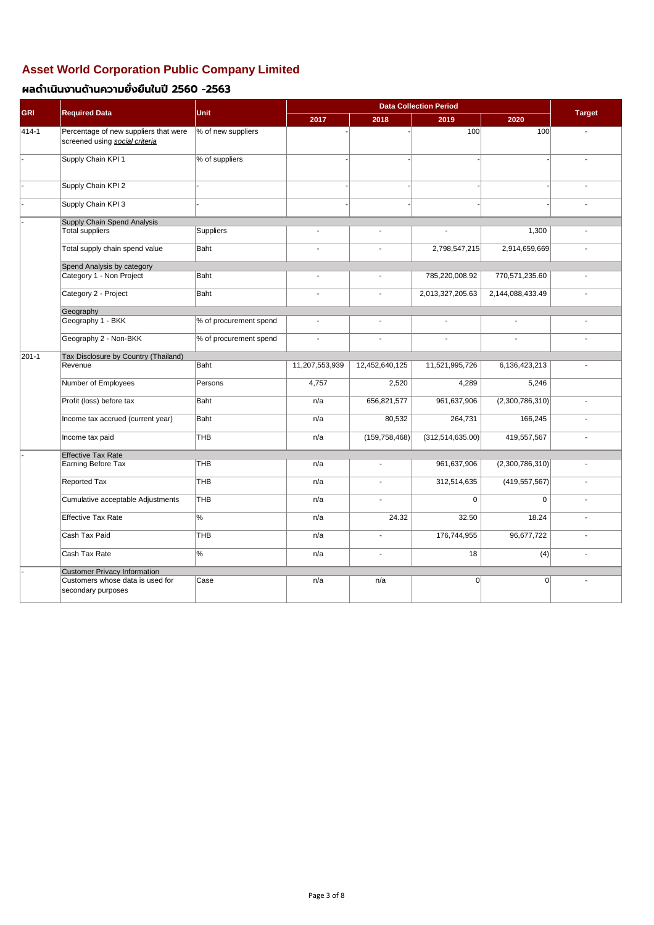| <b>GRI</b> | <b>Required Data</b>                                                    | <b>Unit</b>            |                |                          | <b>Target</b>      |                  |                |
|------------|-------------------------------------------------------------------------|------------------------|----------------|--------------------------|--------------------|------------------|----------------|
|            |                                                                         |                        | 2017           | 2018                     | 2019               | 2020             |                |
| 414-1      | Percentage of new suppliers that were<br>screened using social criteria | % of new suppliers     |                |                          | 100                | 100              | $\blacksquare$ |
|            | Supply Chain KPI 1                                                      | % of suppliers         |                |                          |                    |                  |                |
|            | Supply Chain KPI 2                                                      |                        |                |                          |                    |                  | $\sim$         |
|            | Supply Chain KPI 3                                                      |                        |                |                          |                    |                  |                |
|            | Supply Chain Spend Analysis                                             |                        |                |                          |                    |                  |                |
|            | <b>Total suppliers</b>                                                  | Suppliers              | $\blacksquare$ | $\blacksquare$           |                    | 1,300            |                |
|            | Total supply chain spend value                                          | Baht                   |                |                          | 2,798,547,215      | 2,914,659,669    |                |
|            | Spend Analysis by category                                              |                        |                |                          |                    |                  |                |
|            | Category 1 - Non Project                                                | Baht                   | $\blacksquare$ | $\blacksquare$           | 785,220,008.92     | 770,571,235.60   |                |
|            | Category 2 - Project                                                    | Baht                   | $\blacksquare$ | $\blacksquare$           | 2,013,327,205.63   | 2,144,088,433.49 | $\blacksquare$ |
|            | Geography                                                               |                        |                |                          |                    |                  |                |
|            | Geography 1 - BKK                                                       | % of procurement spend | $\blacksquare$ | $\blacksquare$           | $\sim$             | $\blacksquare$   | $\sim$         |
|            | Geography 2 - Non-BKK                                                   | % of procurement spend | $\blacksquare$ | $\overline{\phantom{a}}$ | $\sim$             | $\blacksquare$   | $\blacksquare$ |
| 201-1      | Tax Disclosure by Country (Thailand)                                    |                        |                |                          |                    |                  |                |
|            | Revenue                                                                 | Baht                   | 11,207,553,939 | 12,452,640,125           | 11,521,995,726     | 6,136,423,213    | $\blacksquare$ |
|            | Number of Employees                                                     | Persons                | 4,757          | 2,520                    | 4,289              | 5,246            |                |
|            | Profit (loss) before tax                                                | Baht                   | n/a            | 656,821,577              | 961,637,906        | (2,300,786,310)  | $\blacksquare$ |
|            | Income tax accrued (current year)                                       | Baht                   | n/a            | 80,532                   | 264,731            | 166,245          | $\blacksquare$ |
|            | Income tax paid                                                         | <b>THB</b>             | n/a            | (159, 758, 468)          | (312, 514, 635.00) | 419,557,567      | $\blacksquare$ |
|            | <b>Effective Tax Rate</b>                                               |                        |                |                          |                    |                  |                |
|            | Earning Before Tax                                                      | <b>THB</b>             | n/a            | $\blacksquare$           | 961,637,906        | (2,300,786,310)  | $\blacksquare$ |
|            | Reported Tax                                                            | <b>THB</b>             | n/a            | $\sim$                   | 312,514,635        | (419, 557, 567)  | $\blacksquare$ |
|            | Cumulative acceptable Adjustments                                       | <b>THB</b>             | n/a            | $\blacksquare$           | $\overline{0}$     | 0                |                |
|            | <b>Effective Tax Rate</b>                                               | $\%$                   | n/a            | 24.32                    | 32.50              | 18.24            | $\blacksquare$ |
|            | Cash Tax Paid                                                           | <b>THB</b>             | n/a            |                          | 176,744,955        | 96,677,722       |                |
|            | Cash Tax Rate                                                           | $\%$                   | n/a            | $\overline{\phantom{a}}$ | 18                 | (4)              |                |
|            | <b>Customer Privacy Information</b>                                     |                        |                |                          |                    |                  |                |
|            | Customers whose data is used for<br>secondary purposes                  | Case                   | n/a            | n/a                      | 0                  | 0                |                |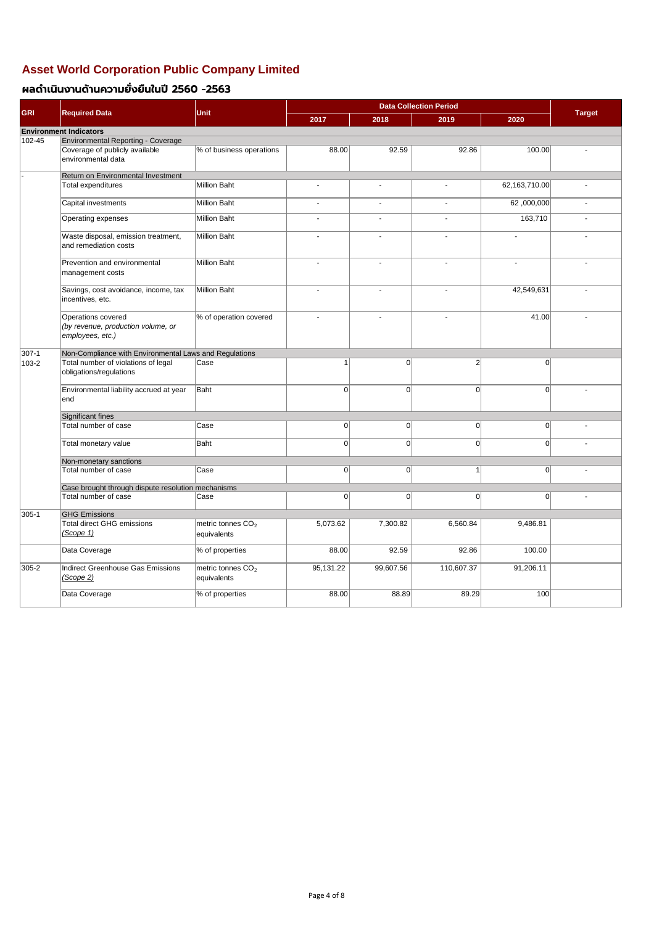### **Asset World Corporation Public Company Limited**

### ผลดำเนินงานด้านความยั่งยืนในปี 2560 -2563

| <b>GRI</b>  | <b>Required Data</b>                                                         | Unit                                         | 2017           | 2018                     | 2019                     | 2020           | <b>Target</b>  |  |
|-------------|------------------------------------------------------------------------------|----------------------------------------------|----------------|--------------------------|--------------------------|----------------|----------------|--|
|             | <b>Environment Indicators</b>                                                |                                              |                |                          |                          |                |                |  |
| 102-45      | Environmental Reporting - Coverage                                           |                                              |                |                          |                          |                |                |  |
|             | Coverage of publicly available<br>environmental data                         | % of business operations                     | 88.00          | 92.59                    | 92.86                    | 100.00         |                |  |
|             | Return on Environmental Investment                                           |                                              |                |                          |                          |                |                |  |
|             | Total expenditures                                                           | Million Baht                                 | $\sim$         |                          | ÷.                       | 62,163,710.00  |                |  |
|             | Capital investments                                                          | Million Baht                                 | $\sim$         | $\overline{\phantom{0}}$ | $\blacksquare$           | 62,000,000     |                |  |
|             | Operating expenses                                                           | Million Baht                                 | $\blacksquare$ | ٠                        | $\overline{\phantom{a}}$ | 163,710        |                |  |
|             | Waste disposal, emission treatment,<br>and remediation costs                 | Million Baht                                 | $\sim$         | $\blacksquare$           | $\blacksquare$           |                |                |  |
|             | Prevention and environmental<br>management costs                             | Million Baht                                 |                | $\overline{\phantom{a}}$ | $\blacksquare$           | $\overline{a}$ |                |  |
|             | Savings, cost avoidance, income, tax<br>incentives, etc.                     | Million Baht                                 |                |                          | $\blacksquare$           | 42,549,631     |                |  |
|             | Operations covered<br>(by revenue, production volume, or<br>employees, etc.) | % of operation covered                       |                |                          | $\blacksquare$           | 41.00          |                |  |
| $307 - 1$   | Non-Compliance with Environmental Laws and Regulations                       |                                              |                |                          |                          |                |                |  |
| $ 103 - 2 $ | Total number of violations of legal<br>obligations/regulations               | Case                                         |                | 0                        | $\overline{2}$           | 0              |                |  |
|             | Environmental liability accrued at year<br>end                               | Baht                                         | $\overline{0}$ | 0                        | $\Omega$                 | $\Omega$       |                |  |
|             | Significant fines                                                            |                                              |                |                          |                          |                |                |  |
|             | Total number of case                                                         | Case                                         | 0              | 0                        | $\Omega$                 | 0              |                |  |
|             | Total monetary value                                                         | Baht                                         | 0              | 0                        | $\Omega$                 | $\Omega$       |                |  |
|             | Non-monetary sanctions                                                       |                                              |                |                          |                          |                |                |  |
|             | Total number of case                                                         | Case                                         | 0              | 0                        |                          | 0              | $\blacksquare$ |  |
|             | Case brought through dispute resolution mechanisms                           |                                              |                |                          |                          |                |                |  |
|             | Total number of case                                                         | Case                                         | 0              | 0                        | $\Omega$                 | 0              |                |  |
| 305-1       | <b>GHG Emissions</b>                                                         |                                              |                |                          |                          |                |                |  |
|             | <b>Total direct GHG emissions</b>                                            | metric tonnes CO <sub>2</sub>                | 5,073.62       | 7,300.82                 | 6,560.84                 | 9,486.81       |                |  |
|             | (Scope 1)                                                                    | equivalents                                  |                |                          |                          |                |                |  |
|             | Data Coverage                                                                | % of properties                              | 88.00          | 92.59                    | 92.86                    | 100.00         |                |  |
| 305-2       | <b>Indirect Greenhouse Gas Emissions</b><br>(Scope 2)                        | metric tonnes CO <sub>2</sub><br>equivalents | 95,131.22      | 99,607.56                | 110,607.37               | 91,206.11      |                |  |
|             | Data Coverage                                                                | % of properties                              | 88.00          | 88.89                    | 89.29                    | 100            |                |  |

Page 4 of 8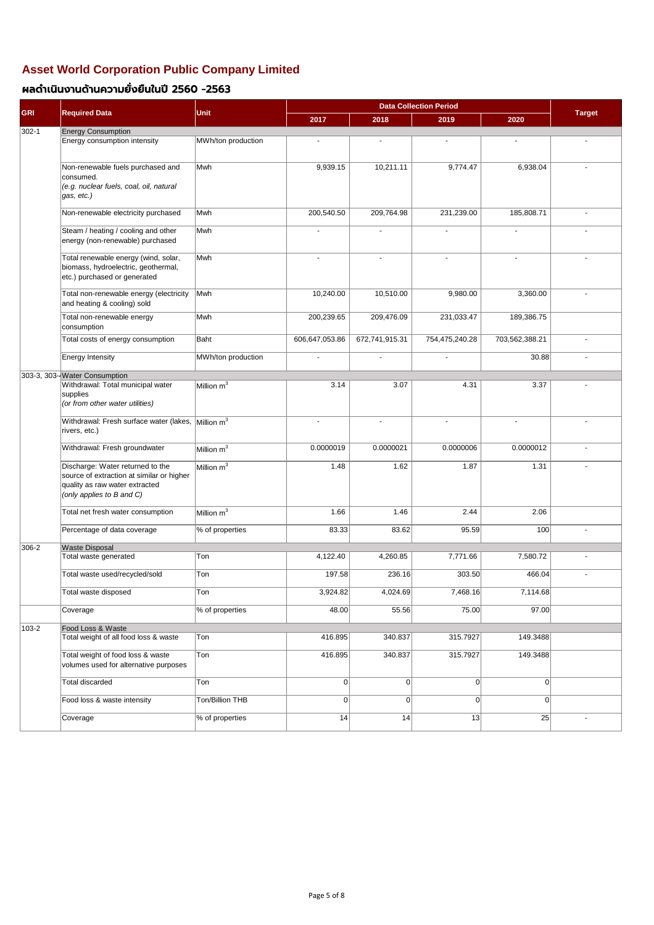| <b>GRI</b> | <b>Required Data</b>                                                                                                                         | <b>Unit</b>        | 2017           | 2018           | 2019           | 2020           | <b>Target</b> |
|------------|----------------------------------------------------------------------------------------------------------------------------------------------|--------------------|----------------|----------------|----------------|----------------|---------------|
| 302-1      | <b>Energy Consumption</b>                                                                                                                    |                    |                |                |                |                |               |
|            | Energy consumption intensity                                                                                                                 | MWh/ton production |                |                |                |                |               |
|            | Non-renewable fuels purchased and<br>consumed.                                                                                               | Mwh                | 9,939.15       | 10,211.11      | 9,774.47       | 6,938.04       |               |
|            | (e.g. nuclear fuels, coal, oil, natural<br>gas, etc.)                                                                                        |                    |                |                |                |                |               |
|            | Non-renewable electricity purchased                                                                                                          | Mwh                | 200,540.50     | 209,764.98     | 231,239.00     | 185,808.71     |               |
|            | Steam / heating / cooling and other<br>energy (non-renewable) purchased                                                                      | Mwh                |                |                |                | $\blacksquare$ |               |
|            | Total renewable energy (wind, solar,<br>biomass, hydroelectric, geothermal,<br>etc.) purchased or generated                                  | Mwh                |                |                |                |                |               |
|            | Total non-renewable energy (electricity<br>and heating & cooling) sold                                                                       | Mwh                | 10,240.00      | 10,510.00      | 9,980.00       | 3,360.00       |               |
|            | Total non-renewable energy<br>consumption                                                                                                    | Mwh                | 200,239.65     | 209,476.09     | 231,033.47     | 189,386.75     |               |
|            | Total costs of energy consumption                                                                                                            | Baht               | 606,647,053.86 | 672,741,915.31 | 754,475,240.28 | 703,562,388.21 |               |
|            | <b>Energy Intensity</b>                                                                                                                      | MWh/ton production |                |                |                | 30.88          |               |
|            | 303-3, 303- Water Consumption                                                                                                                |                    |                |                |                |                |               |
|            | Withdrawal: Total municipal water<br>supplies<br>(or from other water utilities)                                                             | Million $m^3$      | 3.14           | 3.07           | 4.31           | 3.37           |               |
|            | Withdrawal: Fresh surface water (lakes, $Mililon$ m <sup>3</sup><br>rivers, etc.)                                                            |                    |                |                |                |                |               |
|            | Withdrawal: Fresh groundwater                                                                                                                | Million $m^3$      | 0.0000019      | 0.0000021      | 0.0000006      | 0.0000012      |               |
|            | Discharge: Water returned to the<br>source of extraction at similar or higher<br>quality as raw water extracted<br>(only applies to B and C) | Million $m^3$      | 1.48           | 1.62           | 1.87           | 1.31           |               |
|            | Total net fresh water consumption                                                                                                            | Million $m^3$      | 1.66           | 1.46           | 2.44           | 2.06           |               |
|            | Percentage of data coverage                                                                                                                  | % of properties    | 83.33          | 83.62          | 95.59          | 100            |               |
| 306-2      | <b>Waste Disposal</b>                                                                                                                        |                    |                |                |                |                |               |
|            | Total waste generated                                                                                                                        | Ton                | 4,122.40       | 4,260.85       | 7,771.66       | 7,580.72       |               |
|            | Total waste used/recycled/sold                                                                                                               | Ton                | 197.58         | 236.16         | 303.50         | 466.04         |               |
|            | Total waste disposed                                                                                                                         | Ton                | 3,924.82       | 4,024.69       | 7,468.16       | 7,114.68       |               |
|            | Coverage                                                                                                                                     | % of properties    | 48.00          | 55.56          | 75.00          | 97.00          |               |
| 103-2      | Food Loss & Waste<br>Total weight of all food loss & waste                                                                                   | Ton                | 416.895        | 340.837        | 315.7927       | 149.3488       |               |
|            | Total weight of food loss & waste                                                                                                            | Ton                | 416.895        | 340.837        | 315.7927       | 149.3488       |               |
|            | volumes used for alternative purposes                                                                                                        |                    |                |                |                |                |               |
|            | <b>Total discarded</b>                                                                                                                       | Ton                | $\overline{0}$ | $\overline{0}$ | 0              | 0              |               |
|            | Food loss & waste intensity                                                                                                                  | Ton/Billion THB    | 0              | $\overline{0}$ | 0              | 0              |               |
|            | Coverage                                                                                                                                     | % of properties    | 14             | 14             | 13             | 25             |               |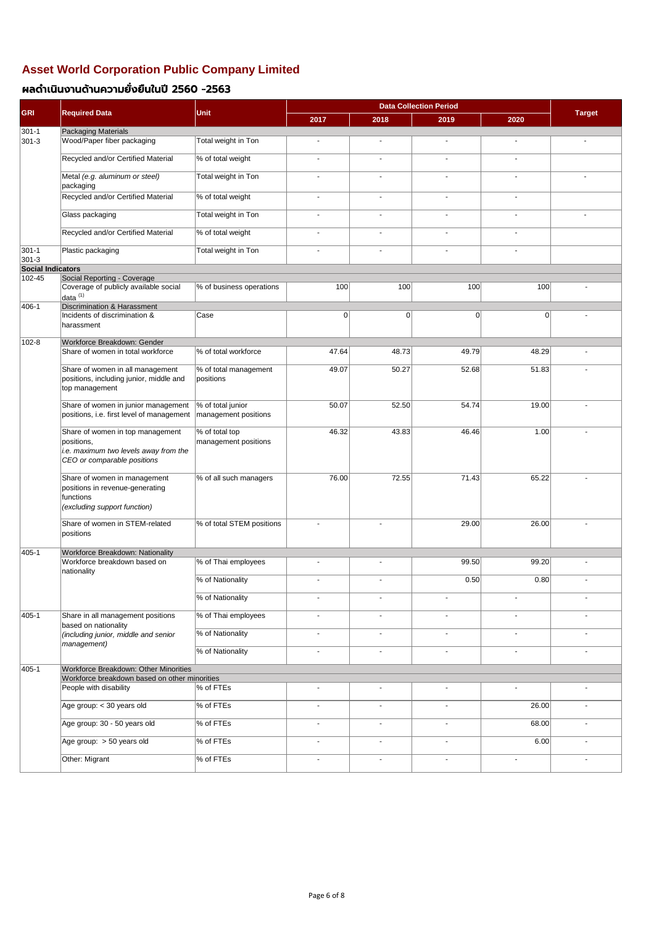| <b>GRI</b>         | <b>Required Data</b>                                                                                                   | <b>Unit</b>                               | 2017           | 2018                     | 2019           | 2020                     | <b>Target</b>            |
|--------------------|------------------------------------------------------------------------------------------------------------------------|-------------------------------------------|----------------|--------------------------|----------------|--------------------------|--------------------------|
| $301 - 1$          | Packaging Materials                                                                                                    |                                           |                |                          |                |                          |                          |
| 301-3              | Wood/Paper fiber packaging                                                                                             | Total weight in Ton                       | $\blacksquare$ | $\blacksquare$           | ÷.             | $\blacksquare$           |                          |
|                    | Recycled and/or Certified Material                                                                                     | % of total weight                         | $\blacksquare$ | $\blacksquare$           | $\blacksquare$ |                          |                          |
|                    | Metal (e.g. aluminum or steel)<br>packaging                                                                            | Total weight in Ton                       | $\blacksquare$ | $\blacksquare$           | ÷.             |                          |                          |
|                    | Recycled and/or Certified Material                                                                                     | % of total weight                         | $\blacksquare$ | $\overline{\phantom{a}}$ | $\sim$         | $\blacksquare$           |                          |
|                    | Glass packaging                                                                                                        | Total weight in Ton                       | $\blacksquare$ | $\overline{\phantom{a}}$ | $\blacksquare$ | $\overline{\phantom{a}}$ | $\tilde{\phantom{a}}$    |
|                    | Recycled and/or Certified Material                                                                                     | % of total weight                         | $\sim$         | $\blacksquare$           | $\blacksquare$ | $\blacksquare$           |                          |
| $301 - 1$<br>301-3 | Plastic packaging                                                                                                      | Total weight in Ton                       | $\blacksquare$ | $\blacksquare$           | $\blacksquare$ | $\blacksquare$           |                          |
| Social Indicators  |                                                                                                                        |                                           |                |                          |                |                          |                          |
| 102-45             | Social Reporting - Coverage                                                                                            |                                           |                |                          |                |                          |                          |
|                    | Coverage of publicly available social<br>$ $ data $(1)$                                                                | % of business operations                  | 100            | 100                      | 100            | 100                      |                          |
| 406-1              | Discrimination & Harassment                                                                                            |                                           |                |                          |                |                          |                          |
|                    | Incidents of discrimination &<br>harassment                                                                            | Case                                      | 0              | 0                        | $\Omega$       | $\Omega$                 |                          |
| 102-8              | Workforce Breakdown: Gender                                                                                            |                                           |                |                          |                |                          |                          |
|                    | Share of women in total workforce                                                                                      | % of total workforce                      | 47.64          | 48.73                    | 49.79          | 48.29                    |                          |
|                    | Share of women in all management<br>positions, including junior, middle and<br>top management                          | % of total management<br>positions        | 49.07          | 50.27                    | 52.68          | 51.83                    |                          |
|                    | Share of women in junior management<br>positions, i.e. first level of management                                       | % of total junior<br>management positions | 50.07          | 52.50                    | 54.74          | 19.00                    |                          |
|                    | Share of women in top management<br>positions,<br>i.e. maximum two levels away from the<br>CEO or comparable positions | % of total top<br>management positions    | 46.32          | 43.83                    | 46.46          | 1.00                     |                          |
|                    | Share of women in management<br>positions in revenue-generating<br>functions<br>(excluding support function)           | % of all such managers                    | 76.00          | 72.55                    | 71.43          | 65.22                    |                          |
|                    | Share of women in STEM-related<br>positions                                                                            | % of total STEM positions                 | $\blacksquare$ |                          | 29.00          | 26.00                    |                          |
| 405-1              | Workforce Breakdown: Nationality                                                                                       |                                           |                |                          |                |                          |                          |
|                    | Workforce breakdown based on<br>nationality                                                                            | % of Thai employees                       | $\blacksquare$ |                          | 99.50          | 99.20                    |                          |
|                    |                                                                                                                        | % of Nationality                          | $\blacksquare$ | $\overline{a}$           | 0.50           | 0.80                     |                          |
|                    |                                                                                                                        | % of Nationality                          | $\blacksquare$ | $\blacksquare$           | $\blacksquare$ | $\blacksquare$           | $\blacksquare$           |
| 405-1              | Share in all management positions<br>based on nationality                                                              | % of Thai employees                       | $\blacksquare$ | $\blacksquare$           | $\blacksquare$ | $\blacksquare$           | $\sim$                   |
|                    | (including junior, middle and senior<br>management)                                                                    | % of Nationality                          | $\blacksquare$ | $\overline{\phantom{a}}$ | $\blacksquare$ | $\overline{\phantom{a}}$ | $\blacksquare$           |
|                    |                                                                                                                        | % of Nationality                          | $\blacksquare$ | $\blacksquare$           | $\sim$         | $\blacksquare$           | $\overline{\phantom{a}}$ |
| 405-1              | Workforce Breakdown: Other Minorities                                                                                  |                                           |                |                          |                |                          |                          |
|                    | Workforce breakdown based on other minorities<br>People with disability                                                | % of FTEs                                 | $\blacksquare$ | $\blacksquare$           | $\blacksquare$ |                          |                          |
|                    | Age group: < 30 years old                                                                                              | % of FTEs                                 | $\blacksquare$ | $\sim$                   | $\mathbf{r}$   | 26.00                    | $\sim$                   |
|                    | Age group: 30 - 50 years old                                                                                           | % of FTEs                                 | $\blacksquare$ | $\sim$                   | $\sim$         | 68.00                    | $\sim$                   |
|                    | Age group: > 50 years old                                                                                              | % of FTEs                                 |                | $\blacksquare$           | $\blacksquare$ | 6.00                     |                          |
|                    | Other: Migrant                                                                                                         | $\sqrt{\frac{8}{6}}$ of FTEs              |                |                          |                |                          |                          |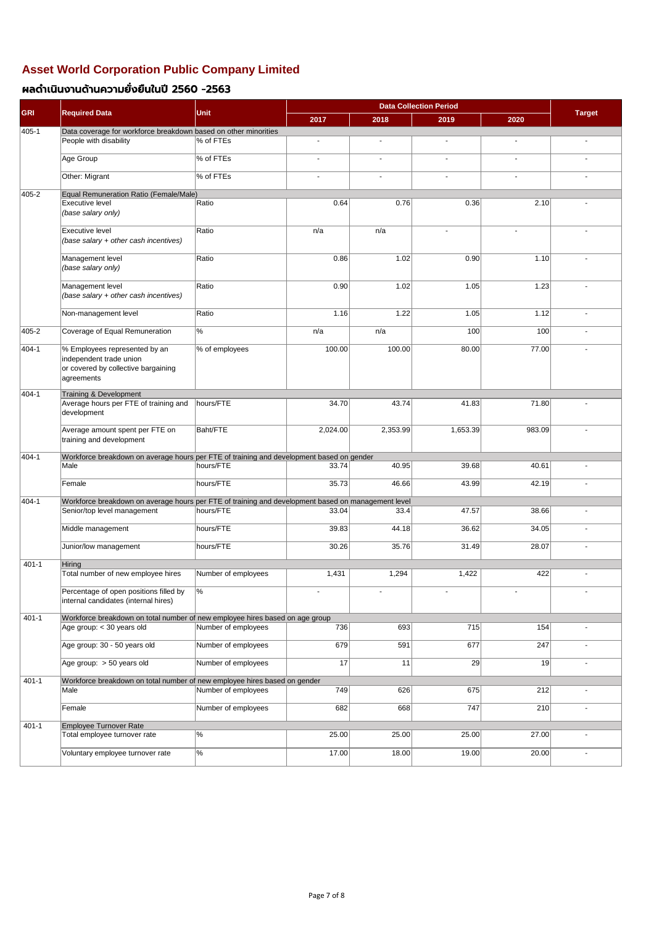|            |                                                                                                               | <b>Unit</b>         |                |          |                |                |                          |
|------------|---------------------------------------------------------------------------------------------------------------|---------------------|----------------|----------|----------------|----------------|--------------------------|
| <b>GRI</b> | <b>Required Data</b>                                                                                          |                     | 2017           | 2018     | 2019           | 2020           | <b>Target</b>            |
| 405-1      | Data coverage for workforce breakdown based on other minorities                                               |                     |                |          |                |                |                          |
|            | People with disability                                                                                        | % of FTEs           | $\sim$         | $\sim$   | $\blacksquare$ |                | $\blacksquare$           |
|            | Age Group                                                                                                     | % of FTEs           | $\blacksquare$ | $\sim$   | ÷.             | $\blacksquare$ | $\blacksquare$           |
|            | Other: Migrant                                                                                                | % of FTEs           | $\sim$         | $\sim$   | ÷.             | $\sim$         | $\blacksquare$           |
| 405-2      | Equal Remuneration Ratio (Female/Male)                                                                        |                     |                |          |                |                |                          |
|            | <b>Executive level</b><br>(base salary only)                                                                  | Ratio               | 0.64           | 0.76     | 0.36           | 2.10           |                          |
|            | <b>Executive level</b><br>(base salary + other cash incentives)                                               | Ratio               | n/a            | n/a      |                |                |                          |
|            | Management level<br>(base salary only)                                                                        | Ratio               | 0.86           | 1.02     | 0.90           | 1.10           |                          |
|            | Management level<br>(base salary + other cash incentives)                                                     | Ratio               | 0.90           | 1.02     | 1.05           | 1.23           |                          |
|            | Non-management level                                                                                          | Ratio               | 1.16           | 1.22     | 1.05           | 1.12           |                          |
| 405-2      | Coverage of Equal Remuneration                                                                                | $\%$                | n/a            | n/a      | 100            | 100            |                          |
| 404-1      | % Employees represented by an<br>independent trade union<br>or covered by collective bargaining<br>agreements | % of employees      | 100.00         | 100.00   | 80.00          | 77.00          |                          |
| 404-1      | Training & Development                                                                                        |                     |                |          |                |                |                          |
|            | Average hours per FTE of training and<br>development                                                          | hours/FTE           | 34.70          | 43.74    | 41.83          | 71.80          |                          |
|            | Average amount spent per FTE on<br>training and development                                                   | <b>Baht/FTE</b>     | 2,024.00       | 2,353.99 | 1,653.39       | 983.09         |                          |
| 404-1      | Workforce breakdown on average hours per FTE of training and development based on gender                      |                     |                |          |                |                |                          |
|            | Male                                                                                                          | hours/FTE           | 33.74          | 40.95    | 39.68          | 40.61          |                          |
|            | Female                                                                                                        | hours/FTE           | 35.73          | 46.66    | 43.99          | 42.19          |                          |
| 404-1      | Workforce breakdown on average hours per FTE of training and development based on management level            |                     |                |          |                |                |                          |
|            | Senior/top level management                                                                                   | hours/FTE           | 33.04          | 33.4     | 47.57          | 38.66          |                          |
|            | Middle management                                                                                             | hours/FTE           | 39.83          | 44.18    | 36.62          | 34.05          | $\overline{\phantom{a}}$ |
|            | Junior/low management                                                                                         | hours/FTE           | 30.26          | 35.76    | 31.49          | 28.07          | $\blacksquare$           |
| $401 - 1$  | Hiring                                                                                                        |                     |                |          |                |                |                          |
|            | Total number of new employee hires                                                                            | Number of employees | 1,431          | 1,294    | 1,422          | 422            |                          |
|            | Percentage of open positions filled by<br>internal candidates (internal hires)                                | $\frac{9}{6}$       | $\sim$         | $\sim$   | $\sim$         | $\sim$         |                          |
| $401 - 1$  | Workforce breakdown on total number of new employee hires based on age group                                  |                     |                |          |                |                |                          |
|            | Age group: < 30 years old                                                                                     | Number of employees | 736            | 693      | 715            | 154            |                          |
|            | Age group: 30 - 50 years old                                                                                  | Number of employees | 679            | 591      | 677            | 247            |                          |
|            | Age group: > 50 years old                                                                                     | Number of employees | 17             | 11       | 29             | 19             |                          |
| $401 - 1$  | Workforce breakdown on total number of new employee hires based on gender<br>Male                             | Number of employees | 749            | 626      | 675            | 212            |                          |
|            | Female                                                                                                        | Number of employees | 682            | 668      | 747            | 210            |                          |
|            |                                                                                                               |                     |                |          |                |                |                          |
| $401 - 1$  | Employee Turnover Rate<br>Total employee turnover rate                                                        | $\%$                | 25.00          | 25.00    | 25.00          | 27.00          |                          |
|            | Voluntary employee turnover rate                                                                              | $\%$                | 17.00          | 18.00    | 19.00          | 20.00          |                          |